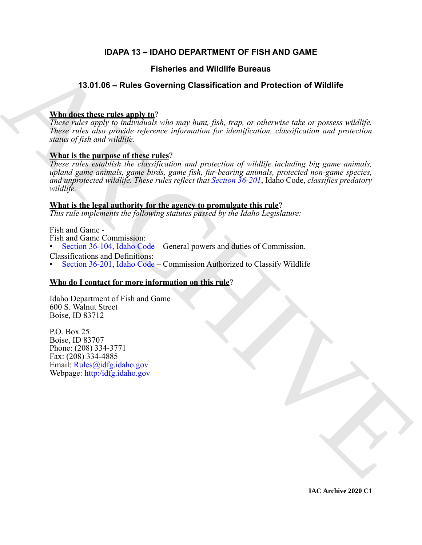#### **IDAPA 13 – IDAHO DEPARTMENT OF FISH AND GAME**

#### **Fisheries and Wildlife Bureaus**

#### **13.01.06 – Rules Governing Classification and Protection of Wildlife**

#### **Who does these rules apply to**?

*These rules apply to individuals who may hunt, fish, trap, or otherwise take or possess wildlife. These rules also provide reference information for identification, classification and protection status of fish and wildlife.* 

#### **What is the purpose of these rules**?

Fisheries and Wildlife Bureaus<br>
13.01.06 - Rules Governing [C](https://legislature.idaho.gov/statutesrules/idstat/Title36/T36CH1/SECT36-104/)lassification and Protection of Wildlife<br>
These reals angle to detail the map hast, fish, angle or chemicies take or process with<br>
These reals angle to detail wh *These rules establish the classification and protection of wildlife including big game animals, upland game animals, game birds, game fish, fur-bearing animals, protected non-game species, and unprotected wildlife. These rules reflect that Section 36-201*, Idaho Code, *classifies predatory wildlife.* 

#### **What is the legal authority for the agency to promulgate this rule**?

*This rule implements the following statutes passed by the Idaho Legislature:*

#### Fish and Game -

Fish and Game Commission:

• Section 36-104, Idaho Code – General powers and duties of Commission.

Classifications and Definitions:

• Section 36-201, Idaho Code – Commission Authorized to Classify Wildlife

#### **Who do I contact for more information on this rule**?

Idaho Department of Fish and Game 600 S. Walnut Street Boise, ID 83712

P.O. Box 25 Boise, ID 83707 Phone: (208) 334-3771 Fax: (208) 334-4885 Email: Rules@idfg.idaho.gov Webpage: http:/idfg.idaho.gov

**IAC Archive 2020 C1**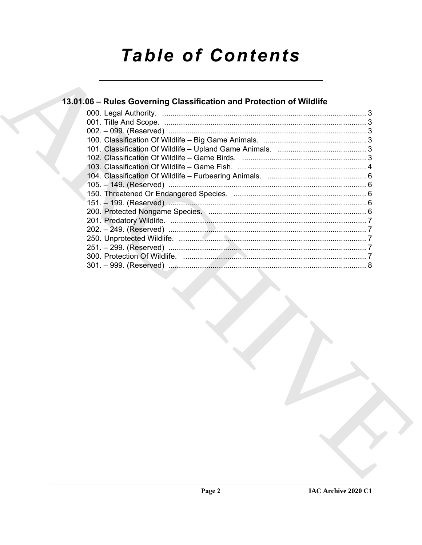# **Table of Contents**

### 13.01.06 - Rules Governing Classification and Protection of Wildlife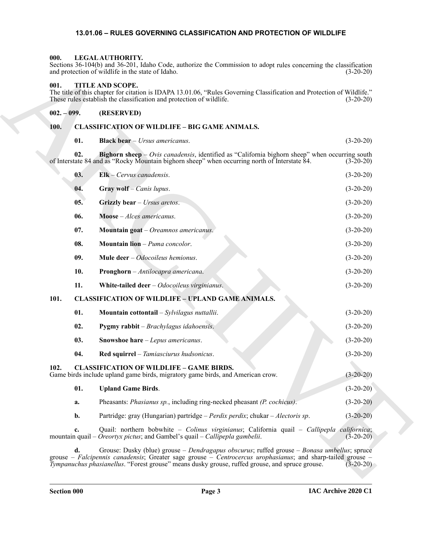#### <span id="page-2-26"></span>**13.01.06 – RULES GOVERNING CLASSIFICATION AND PROTECTION OF WILDLIFE**

#### <span id="page-2-1"></span><span id="page-2-0"></span>**000. LEGAL AUTHORITY.**

Sections 36-104(b) and 36-201, Idaho Code, authorize the Commission to adopt rules concerning the classification and protection of wildlife in the state of Idaho. (3-20-20)

#### <span id="page-2-27"></span><span id="page-2-2"></span>**001. TITLE AND SCOPE.**

#### <span id="page-2-3"></span>**002. – 099. (RESERVED)**

#### <span id="page-2-4"></span>**100. CLASSIFICATION OF WILDLIFE – BIG GAME ANIMALS.**

<span id="page-2-25"></span><span id="page-2-24"></span><span id="page-2-23"></span><span id="page-2-22"></span><span id="page-2-21"></span><span id="page-2-20"></span><span id="page-2-19"></span><span id="page-2-18"></span><span id="page-2-17"></span><span id="page-2-16"></span><span id="page-2-15"></span><span id="page-2-14"></span><span id="page-2-13"></span><span id="page-2-12"></span><span id="page-2-11"></span><span id="page-2-10"></span><span id="page-2-9"></span><span id="page-2-8"></span><span id="page-2-7"></span><span id="page-2-6"></span><span id="page-2-5"></span>

|  | <b>Black bear</b> $-$ <i>Ursus americanus.</i> | $(3-20-20)$ |
|--|------------------------------------------------|-------------|
|--|------------------------------------------------|-------------|

|                | Sections 36-104(b) and 36-201, Idaho Code, authorize the Commission to adopt rules concerning the classification<br>and protection of wildlife in the state of Idaho.                                                                                                                                         | $(3-20-20)$ |
|----------------|---------------------------------------------------------------------------------------------------------------------------------------------------------------------------------------------------------------------------------------------------------------------------------------------------------------|-------------|
| 001.           | TITLE AND SCOPE.<br>The title of this chapter for citation is IDAPA 13.01.06, "Rules Governing Classification and Protection of Wildlife."<br>These rules establish the classification and protection of wildlife.                                                                                            | $(3-20-20)$ |
| $002. - 099.$  | (RESERVED)                                                                                                                                                                                                                                                                                                    |             |
| <b>100.</b>    | <b>CLASSIFICATION OF WILDLIFE - BIG GAME ANIMALS.</b>                                                                                                                                                                                                                                                         |             |
| 01.            | <b>Black bear</b> - Ursus americanus.                                                                                                                                                                                                                                                                         | $(3-20-20)$ |
| 02.            | <b>Bighorn sheep</b> $-Ovis can adensis$ , identified as "California bighorn sheep" when occurring south<br>of Interstate 84 and as "Rocky Mountain bighorn sheep" when occurring north of Interstate 84.                                                                                                     | $(3-20-20)$ |
| 03.            | $E$ lk – Cervus canadensis.                                                                                                                                                                                                                                                                                   | $(3-20-20)$ |
| 04.            | Gray wolf $-$ Canis lupus.                                                                                                                                                                                                                                                                                    | $(3-20-20)$ |
| 05.            | Grizzly bear $-$ Ursus arctos.                                                                                                                                                                                                                                                                                | $(3-20-20)$ |
| 06.            | $Moose - Alces americanus.$                                                                                                                                                                                                                                                                                   | $(3-20-20)$ |
| 07.            | Mountain goat – Oreamnos americanus.                                                                                                                                                                                                                                                                          | $(3-20-20)$ |
| 08.            | Mountain lion - Puma concolor.                                                                                                                                                                                                                                                                                | $(3-20-20)$ |
| 09.            | Mule deer - Odocoileus hemionus.                                                                                                                                                                                                                                                                              | $(3-20-20)$ |
| 10.            | Pronghorn - Antilocapra americana.                                                                                                                                                                                                                                                                            | $(3-20-20)$ |
| 11.            | White-tailed deer $-Odocoileus virginianus.$                                                                                                                                                                                                                                                                  | $(3-20-20)$ |
| 101.           | <b>CLASSIFICATION OF WILDLIFE - UPLAND GAME ANIMALS.</b>                                                                                                                                                                                                                                                      |             |
| 01.            | <b>Mountain cottontail</b> $-Sylvilagus$ nuttallii.                                                                                                                                                                                                                                                           | $(3-20-20)$ |
| 02.            | <b>Pygmy rabbit</b> $-$ <i>Brachylagus idahoensis.</i>                                                                                                                                                                                                                                                        | $(3-20-20)$ |
| 03.            | Snowshoe hare $-$ Lepus americanus.                                                                                                                                                                                                                                                                           | $(3-20-20)$ |
| 04.            | Red squirrel - Tamiasciurus hudsonicus.                                                                                                                                                                                                                                                                       | $(3-20-20)$ |
| 102.           | <b>CLASSIFICATION OF WILDLIFE - GAME BIRDS.</b><br>Game birds include upland game birds, migratory game birds, and American crow.                                                                                                                                                                             | $(3-20-20)$ |
| 01.            | <b>Upland Game Birds.</b>                                                                                                                                                                                                                                                                                     | $(3-20-20)$ |
| a.             | Pheasants: <i>Phasianus sp.</i> , including ring-necked pheasant ( <i>P. cochicus</i> ).                                                                                                                                                                                                                      | $(3-20-20)$ |
| b.             | Partridge: gray (Hungarian) partridge - Perdix perdix; chukar - Alectoris sp.                                                                                                                                                                                                                                 | $(3-20-20)$ |
| c.             | Quail: northern bobwhite – Colinus virginianus; California quail – Callipepla californica;<br>mountain quail – Oreortyx pictus; and Gambel's quail – Callipepla gambelii.                                                                                                                                     | $(3-20-20)$ |
| $\mathbf{d}$ . | Grouse: Dusky (blue) grouse - Dendragapus obscurus; ruffed grouse - Bonasa umbellus; spruce<br>grouse – Falcipennis canadensis; Greater sage grouse – Centrocercus urophasianus; and sharp-tailed grouse –<br>Tympanuchus phasianellus. "Forest grouse" means dusky grouse, ruffed grouse, and spruce grouse. | $(3-20-20)$ |
|                |                                                                                                                                                                                                                                                                                                               |             |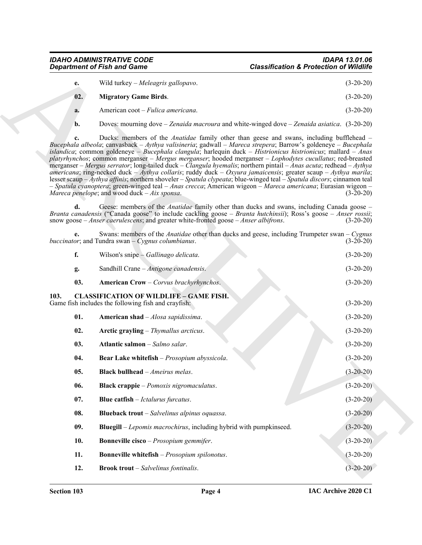## *IDAHO ADMINISTRATIVE CODE IDAPA 13.01.06*

<span id="page-3-15"></span><span id="page-3-14"></span><span id="page-3-13"></span><span id="page-3-12"></span><span id="page-3-11"></span><span id="page-3-10"></span><span id="page-3-9"></span><span id="page-3-8"></span><span id="page-3-7"></span><span id="page-3-6"></span><span id="page-3-5"></span><span id="page-3-4"></span><span id="page-3-3"></span><span id="page-3-2"></span><span id="page-3-1"></span><span id="page-3-0"></span>

| e.  | Wild turkey – Meleagris gallopavo. | $(3-20-20)$ |
|-----|------------------------------------|-------------|
| 02. | <b>Migratory Game Birds.</b>       | $(3-20-20)$ |
| a.  | American coot – Fulica americana.  | $(3-20-20)$ |

|      | <b>Department of Fish and Game</b>                                                                                                                                                                                                                                                                                                                                                                                                                                                                                                                                                                                                                                                                                                                                                                                                                                             | <b>Classification &amp; Protection of Wildlife</b>                                                                   |
|------|--------------------------------------------------------------------------------------------------------------------------------------------------------------------------------------------------------------------------------------------------------------------------------------------------------------------------------------------------------------------------------------------------------------------------------------------------------------------------------------------------------------------------------------------------------------------------------------------------------------------------------------------------------------------------------------------------------------------------------------------------------------------------------------------------------------------------------------------------------------------------------|----------------------------------------------------------------------------------------------------------------------|
| e.   | Wild turkey - Meleagris gallopavo.                                                                                                                                                                                                                                                                                                                                                                                                                                                                                                                                                                                                                                                                                                                                                                                                                                             | $(3-20-20)$                                                                                                          |
| 02.  | <b>Migratory Game Birds.</b>                                                                                                                                                                                                                                                                                                                                                                                                                                                                                                                                                                                                                                                                                                                                                                                                                                                   | $(3-20-20)$                                                                                                          |
| a.   | American coot - Fulica americana.                                                                                                                                                                                                                                                                                                                                                                                                                                                                                                                                                                                                                                                                                                                                                                                                                                              | $(3-20-20)$                                                                                                          |
| b.   |                                                                                                                                                                                                                                                                                                                                                                                                                                                                                                                                                                                                                                                                                                                                                                                                                                                                                | Doves: mourning dove – Zenaida macroura and white-winged dove – Zenaida asiatica. (3-20-20)                          |
| c.   | Bucephala albeola; canvasback - Aythya valisineria; gadwall - Mareca strepera; Barrow's goldeneye - Bucephala<br>islandica; common goldeneye – Bucephala clangula; harlequin duck – Histrionicus histrionicus; mallard – Anas<br>platyrhynchos; common merganser - Mergus merganser; hooded merganser - Lophodytes cucullatus; red-breasted<br>merganser - Mergus serrator; long-tailed duck - Clangula hyemalis; northern pintail - Anas acuta; redhead - Aythya<br>americana; ring-necked duck - Aythya collaris; ruddy duck - Oxyura jamaicensis; greater scaup - Aythya marila;<br>lesser scaup - Aythya affinis; northern shoveler - Spatula clypeata; blue-winged teal - Spatula discors; cinnamon teal<br>- Spatula cyanoptera; green-winged teal - Anas crecca; American wigeon - Mareca americana; Eurasian wigeon -<br>Mareca penelope; and wood duck $-Aix$ sponsa. | Ducks: members of the <i>Anatidae</i> family other than geese and swans, including bufflehead –<br>$(3-20-20)$       |
| d.   | Branta canadensis ("Canada goose" to include cackling goose - Branta hutchinsii); Ross's goose - Anser rossii;<br>snow goose $-Anser$ caerulescens; and greater white-fronted goose $-Anser$ albifrons.                                                                                                                                                                                                                                                                                                                                                                                                                                                                                                                                                                                                                                                                        | Geese: members of the <i>Anatidae</i> family other than ducks and swans, including Canada goose –<br>$(3-20-20)$     |
| е.   | buccinator; and Tundra swan $-Cygnus$ columbianus.                                                                                                                                                                                                                                                                                                                                                                                                                                                                                                                                                                                                                                                                                                                                                                                                                             | Swans: members of the <i>Anatidae</i> other than ducks and geese, including Trumpeter swan $- Cygnus$<br>$(3-20-20)$ |
| f.   | Wilson's snipe – Gallinago delicata.                                                                                                                                                                                                                                                                                                                                                                                                                                                                                                                                                                                                                                                                                                                                                                                                                                           | $(3-20-20)$                                                                                                          |
| g.   | Sandhill Crane - Antigone canadensis.                                                                                                                                                                                                                                                                                                                                                                                                                                                                                                                                                                                                                                                                                                                                                                                                                                          | $(3-20-20)$                                                                                                          |
| 03.  | <b>American Crow</b> – Corvus brachyrhynchos.                                                                                                                                                                                                                                                                                                                                                                                                                                                                                                                                                                                                                                                                                                                                                                                                                                  | $(3-20-20)$                                                                                                          |
| 103. | <b>CLASSIFICATION OF WILDLIFE - GAME FISH.</b><br>Game fish includes the following fish and crayfish:                                                                                                                                                                                                                                                                                                                                                                                                                                                                                                                                                                                                                                                                                                                                                                          | $(3-20-20)$                                                                                                          |
| 01.  | <b>American shad</b> $-A$ <i>losa sapidissima</i> .                                                                                                                                                                                                                                                                                                                                                                                                                                                                                                                                                                                                                                                                                                                                                                                                                            | $(3-20-20)$                                                                                                          |
| 02.  | Arctic grayling - Thymallus arcticus.                                                                                                                                                                                                                                                                                                                                                                                                                                                                                                                                                                                                                                                                                                                                                                                                                                          | $(3-20-20)$                                                                                                          |
| 03.  | Atlantic salmon - Salmo salar.                                                                                                                                                                                                                                                                                                                                                                                                                                                                                                                                                                                                                                                                                                                                                                                                                                                 | $(3-20-20)$                                                                                                          |
| 04.  | Bear Lake whitefish - Prosopium abyssicola.                                                                                                                                                                                                                                                                                                                                                                                                                                                                                                                                                                                                                                                                                                                                                                                                                                    | $(3-20-20)$                                                                                                          |
| 05.  | <b>Black bullhead</b> $-A$ <i>meirus melas</i> .                                                                                                                                                                                                                                                                                                                                                                                                                                                                                                                                                                                                                                                                                                                                                                                                                               | $(3-20-20)$                                                                                                          |
| 06.  | <b>Black crappie</b> $-Pomoxis$ nigromaculatus.                                                                                                                                                                                                                                                                                                                                                                                                                                                                                                                                                                                                                                                                                                                                                                                                                                | $(3-20-20)$                                                                                                          |
| 07.  | <b>Blue catfish</b> $-$ <i>Ictalurus furcatus.</i>                                                                                                                                                                                                                                                                                                                                                                                                                                                                                                                                                                                                                                                                                                                                                                                                                             | $(3-20-20)$                                                                                                          |
| 08.  | <b>Blueback trout</b> $-Salvelinus$ alpinus oquassa.                                                                                                                                                                                                                                                                                                                                                                                                                                                                                                                                                                                                                                                                                                                                                                                                                           | $(3-20-20)$                                                                                                          |
| 09.  | Bluegill – Lepomis macrochirus, including hybrid with pumpkinseed.                                                                                                                                                                                                                                                                                                                                                                                                                                                                                                                                                                                                                                                                                                                                                                                                             | $(3-20-20)$                                                                                                          |
| 10.  | <b>Bonneville cisco</b> – Prosopium gemmifer.                                                                                                                                                                                                                                                                                                                                                                                                                                                                                                                                                                                                                                                                                                                                                                                                                                  | $(3-20-20)$                                                                                                          |
| 11.  | <b>Bonneville whitefish</b> $-Prosopium spilonotus$ .                                                                                                                                                                                                                                                                                                                                                                                                                                                                                                                                                                                                                                                                                                                                                                                                                          | $(3-20-20)$                                                                                                          |
|      |                                                                                                                                                                                                                                                                                                                                                                                                                                                                                                                                                                                                                                                                                                                                                                                                                                                                                |                                                                                                                      |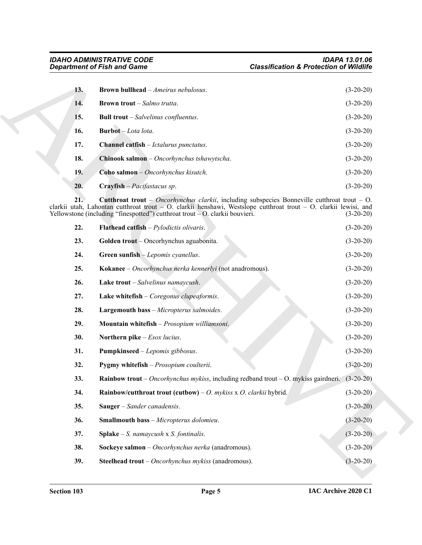<span id="page-4-25"></span><span id="page-4-24"></span><span id="page-4-23"></span><span id="page-4-22"></span><span id="page-4-21"></span><span id="page-4-20"></span><span id="page-4-19"></span><span id="page-4-18"></span><span id="page-4-17"></span><span id="page-4-16"></span><span id="page-4-15"></span><span id="page-4-14"></span><span id="page-4-13"></span><span id="page-4-12"></span><span id="page-4-11"></span><span id="page-4-10"></span><span id="page-4-9"></span><span id="page-4-8"></span><span id="page-4-7"></span><span id="page-4-6"></span><span id="page-4-5"></span><span id="page-4-4"></span><span id="page-4-3"></span><span id="page-4-2"></span><span id="page-4-1"></span><span id="page-4-0"></span>

| 13. | <b>Brown bullhead</b> $-A$ <i>meirus nebulosus.</i>        | $(3-20-20)$ |
|-----|------------------------------------------------------------|-------------|
| 14. | <b>Brown trout</b> – Salmo trutta.                         | $(3-20-20)$ |
| 15. | <b>Bull trout</b> $-Salvelinus$ <i>confluentus</i> .       | $(3-20-20)$ |
| 16. | <b>Burbot</b> – <i>Lota lota</i> .                         | $(3-20-20)$ |
| 17. | <b>Channel catfish</b> – <i>Ictalurus punctatus</i> .      | $(3-20-20)$ |
| 18. | <b>Chinook salmon</b> $-$ <i>Oncorhynchus tshawytscha.</i> | $(3-20-20)$ |
| 19. | <b>Coho salmon</b> $-$ <i>Oncorhynchus kisutch.</i>        | $(3-20-20)$ |
| 20. | <b>Crayfish</b> $-Pacifastacus$ sp.                        | $(3-20-20)$ |

|     | <b>Department of Fish and Game</b>                                                                                                                                                                                                                                                                        | <b>Classification &amp; Protection of Wildlife</b> |
|-----|-----------------------------------------------------------------------------------------------------------------------------------------------------------------------------------------------------------------------------------------------------------------------------------------------------------|----------------------------------------------------|
| 13. | <b>Brown bullhead</b> $-A$ <i>meirus nebulosus.</i>                                                                                                                                                                                                                                                       | $(3-20-20)$                                        |
| 14. | <b>Brown trout</b> – Salmo trutta.                                                                                                                                                                                                                                                                        | $(3-20-20)$                                        |
| 15. | <b>Bull trout</b> $-Salvelinus$ <i>confluentus</i> .                                                                                                                                                                                                                                                      | $(3-20-20)$                                        |
| 16. | Burbot-Lota lota.                                                                                                                                                                                                                                                                                         | $(3-20-20)$                                        |
| 17. | <b>Channel catfish</b> - Ictalurus punctatus.                                                                                                                                                                                                                                                             | $(3-20-20)$                                        |
| 18. | Chinook salmon - Oncorhynchus tshawytscha.                                                                                                                                                                                                                                                                | $(3-20-20)$                                        |
| 19. | Coho salmon - Oncorhynchus kisutch.                                                                                                                                                                                                                                                                       | $(3-20-20)$                                        |
| 20. | <b>Crayfish</b> $-Pacifastacus$ sp.                                                                                                                                                                                                                                                                       | $(3-20-20)$                                        |
| 21. | <b>Cutthroat trout</b> – Oncorhynchus clarkii, including subspecies Bonneville cutthroat trout – O.<br>clarkii utah, Lahontan cutthroat trout - O. clarkii henshawi, Westslope cutthroat trout - O. clarkii lewisi, and<br>Yellowstone (including "finespotted") cutthroat trout $-$ O. clarkii bouvieri. | $(3-20-20)$                                        |
| 22. | <b>Flathead catfish</b> $-Pylodictis$ olivaris.                                                                                                                                                                                                                                                           | $(3-20-20)$                                        |
| 23. | Golden trout – Oncorhynchus aguabonita.                                                                                                                                                                                                                                                                   | $(3-20-20)$                                        |
| 24. | <b>Green sunfish</b> $-$ <i>Lepomis cyanellus.</i>                                                                                                                                                                                                                                                        | $(3-20-20)$                                        |
| 25. | Kokanee – Oncorhynchus nerka kennerlyi (not anadromous).                                                                                                                                                                                                                                                  | $(3-20-20)$                                        |
| 26. | Lake trout $-Salvelinus$ namaycush.                                                                                                                                                                                                                                                                       | $(3-20-20)$                                        |
| 27. | Lake whitefish $-$ Coregonus clupeaformis.                                                                                                                                                                                                                                                                | $(3-20-20)$                                        |
| 28. | Largemouth bass - Micropterus salmoides.                                                                                                                                                                                                                                                                  | $(3-20-20)$                                        |
| 29. | Mountain whitefish - Prosopium williamsoni.                                                                                                                                                                                                                                                               | $(3-20-20)$                                        |
| 30. | Northern pike $-$ <i>Esox lucius</i> .                                                                                                                                                                                                                                                                    | $(3-20-20)$                                        |
| 31. | Pumpkinseed - Lepomis gibbosus.                                                                                                                                                                                                                                                                           | $(3-20-20)$                                        |
| 32. | <b>Pygmy whitefish</b> $-Prosopium$ <i>coulterii</i> .                                                                                                                                                                                                                                                    | $(3-20-20)$                                        |
| 33. | <b>Rainbow trout</b> – <i>Oncorhynchus mykiss</i> , including redband trout – O. mykiss gairdneri. (3-20-20)                                                                                                                                                                                              |                                                    |
| 34. | Rainbow/cutthroat trout (cutbow) – O. mykiss x O. clarkii hybrid.                                                                                                                                                                                                                                         | $(3-20-20)$                                        |
| 35. | Sauger - Sander canadensis.                                                                                                                                                                                                                                                                               | $(3-20-20)$                                        |
| 36. | Smallmouth bass - Micropterus dolomieu.                                                                                                                                                                                                                                                                   | $(3-20-20)$                                        |
| 37. | <b>Splake</b> – <i>S. namaycush x S. fontinalis.</i>                                                                                                                                                                                                                                                      | $(3-20-20)$                                        |
| 38. | Sockeye salmon - Oncorhynchus nerka (anadromous).                                                                                                                                                                                                                                                         | $(3-20-20)$                                        |
| 39. | Steelhead trout - Oncorhynchus mykiss (anadromous).                                                                                                                                                                                                                                                       | $(3-20-20)$                                        |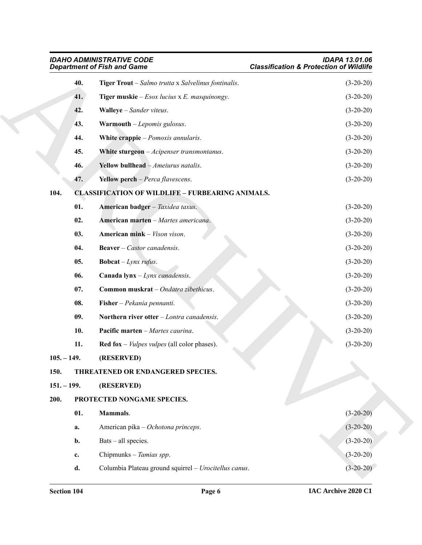<span id="page-5-26"></span><span id="page-5-25"></span><span id="page-5-24"></span><span id="page-5-23"></span><span id="page-5-22"></span><span id="page-5-21"></span><span id="page-5-20"></span><span id="page-5-19"></span><span id="page-5-18"></span><span id="page-5-17"></span><span id="page-5-16"></span><span id="page-5-15"></span><span id="page-5-14"></span><span id="page-5-13"></span><span id="page-5-12"></span><span id="page-5-11"></span><span id="page-5-10"></span><span id="page-5-9"></span><span id="page-5-8"></span><span id="page-5-7"></span><span id="page-5-6"></span><span id="page-5-5"></span><span id="page-5-4"></span><span id="page-5-3"></span><span id="page-5-2"></span><span id="page-5-1"></span><span id="page-5-0"></span>

|               | <b>IDAHO ADMINISTRATIVE CODE</b><br><b>Department of Fish and Game</b> | <b>IDAPA 13.01.06</b><br><b>Classification &amp; Protection of Wildlife</b> |
|---------------|------------------------------------------------------------------------|-----------------------------------------------------------------------------|
| 40.           | Tiger Trout - Salmo trutta x Salvelinus fontinalis.                    | $(3-20-20)$                                                                 |
| 41.           | <b>Tiger muskie</b> $-$ <i>Esox lucius</i> $x$ <i>E. masquinongy.</i>  | $(3-20-20)$                                                                 |
| 42.           | Walleye - Sander viteus.                                               | $(3-20-20)$                                                                 |
| 43.           | <b>Warmouth</b> $-$ <i>Lepomis gulosus.</i>                            | $(3-20-20)$                                                                 |
| 44.           | White crappie $-Pomoxis$ annularis.                                    | $(3-20-20)$                                                                 |
| 45.           | White sturgeon - Acipenser transmontanus.                              | $(3-20-20)$                                                                 |
| 46.           | Yellow bullhead $-A$ <i>meiurus natalis</i> .                          | $(3-20-20)$                                                                 |
| 47.           | <b>Yellow perch</b> $-Perca$ <i>flavescens</i> .                       | $(3-20-20)$                                                                 |
| 104.          | <b>CLASSIFICATION OF WILDLIFE - FURBEARING ANIMALS.</b>                |                                                                             |
| 01.           | American badger - Taxidea taxus.                                       | $(3-20-20)$                                                                 |
| 02.           | American marten - Martes americana.                                    | $(3-20-20)$                                                                 |
| 03.           | American mink - Vison vison.                                           | $(3-20-20)$                                                                 |
| 04.           | <b>Beaver</b> – Castor canadensis.                                     | $(3-20-20)$                                                                 |
| 05.           | <b>Bobcat</b> – Lynx rufus.                                            | $(3-20-20)$                                                                 |
| 06.           | Canada lynx $-Lynx$ canadensis.                                        | $(3-20-20)$                                                                 |
| 07.           | Common muskrat - Ondatra zibethicus.                                   | $(3-20-20)$                                                                 |
| 08.           | Fisher - Pekania pennanti.                                             | $(3-20-20)$                                                                 |
| 09.           | Northern river otter - Lontra canadensis.                              | $(3-20-20)$                                                                 |
| 10.           | Pacific marten - Martes caurina.                                       | $(3-20-20)$                                                                 |
| 11.           | <b>Red fox</b> – <i>Vulpes vulpes</i> (all color phases).              | $(3-20-20)$                                                                 |
| $105. - 149.$ | (RESERVED)                                                             |                                                                             |
| 150.          | THREATENED OR ENDANGERED SPECIES.                                      |                                                                             |
| $151. - 199.$ | (RESERVED)                                                             |                                                                             |
| 200.          | PROTECTED NONGAME SPECIES.                                             |                                                                             |
| 01.           | Mammals.                                                               | $(3-20-20)$                                                                 |
| a.            | American pika - Ochotona princeps.                                     | $(3-20-20)$                                                                 |
| b.            | Bats - all species.                                                    | $(3-20-20)$                                                                 |
| c.            | Chipmunks - Tamias spp.                                                | $(3-20-20)$                                                                 |
| d.            | Columbia Plateau ground squirrel - Urocitellus canus.                  | $(3-20-20)$                                                                 |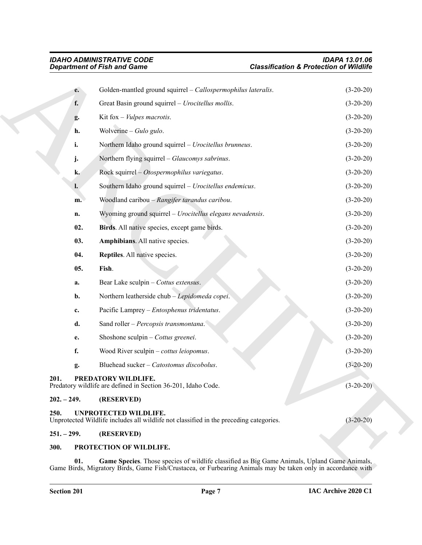<span id="page-6-7"></span><span id="page-6-6"></span>

|               | <b>Department of Fish and Game</b>                                                                                     | <b>Classification &amp; Protection of Wildlife</b> |
|---------------|------------------------------------------------------------------------------------------------------------------------|----------------------------------------------------|
| e.            | Golden-mantled ground squirrel - Callospermophilus lateralis.                                                          | $(3-20-20)$                                        |
| f.            | Great Basin ground squirrel - Urocitellus mollis.                                                                      | $(3-20-20)$                                        |
| g.            | Kit fox $-$ <i>Vulpes macrotis.</i>                                                                                    | $(3-20-20)$                                        |
| h.            | Wolverine – Gulo gulo.                                                                                                 | $(3-20-20)$                                        |
| i.            | Northern Idaho ground squirrel - Urocitellus brunneus.                                                                 | $(3-20-20)$                                        |
| j.            | Northern flying squirrel - Glaucomys sabrinus.                                                                         | $(3-20-20)$                                        |
| k.            | Rock squirrel - Otospermophilus variegatus.                                                                            | $(3-20-20)$                                        |
| I.            | Southern Idaho ground squirrel - Urocitellus endemicus.                                                                | $(3-20-20)$                                        |
| m.            | Woodland caribou - Rangifer tarandus caribou.                                                                          | $(3-20-20)$                                        |
| n.            | Wyoming ground squirrel - Urocitellus elegans nevadensis.                                                              | $(3-20-20)$                                        |
| 02.           | Birds. All native species, except game birds.                                                                          | $(3-20-20)$                                        |
| 03.           | Amphibians. All native species.                                                                                        | $(3-20-20)$                                        |
| 04.           | Reptiles. All native species.                                                                                          | $(3-20-20)$                                        |
| 05.           | Fish.                                                                                                                  | $(3-20-20)$                                        |
| a.            | Bear Lake sculpin - Cottus extensus.                                                                                   | $(3-20-20)$                                        |
| b.            | Northern leatherside chub - Lepidomeda copei.                                                                          | $(3-20-20)$                                        |
| c.            | Pacific Lamprey - Entosphenus tridentatus.                                                                             | $(3-20-20)$                                        |
| d.            | Sand roller - Percopsis transmontana.                                                                                  | $(3-20-20)$                                        |
| e.            | Shoshone sculpin – Cottus greenei.                                                                                     | $(3-20-20)$                                        |
| f.            | Wood River sculpin – cottus leiopomus.                                                                                 | $(3-20-20)$                                        |
| g.            | Bluehead sucker - Catostomus discobolus.                                                                               | $(3-20-20)$                                        |
| 201.          | PREDATORY WILDLIFE.<br>Predatory wildlife are defined in Section 36-201, Idaho Code.                                   | $(3-20-20)$                                        |
| $202. - 249.$ | (RESERVED)                                                                                                             |                                                    |
| 250.          | <b>UNPROTECTED WILDLIFE.</b><br>Unprotected Wildlife includes all wildlife not classified in the preceding categories. | $(3-20-20)$                                        |
| $251. - 299.$ | (RESERVED)                                                                                                             |                                                    |
| 300.          | PROTECTION OF WILDLIFE.                                                                                                |                                                    |

#### <span id="page-6-12"></span><span id="page-6-9"></span><span id="page-6-8"></span><span id="page-6-5"></span><span id="page-6-3"></span><span id="page-6-2"></span><span id="page-6-1"></span><span id="page-6-0"></span>**251. – 299. (RESERVED)**

#### <span id="page-6-11"></span><span id="page-6-10"></span><span id="page-6-4"></span>**300. PROTECTION OF WILDLIFE.**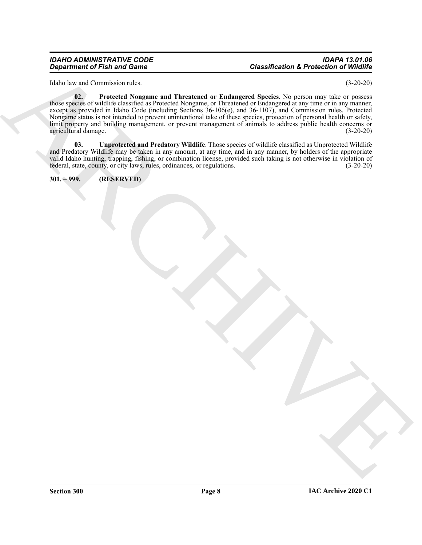#### *IDAHO ADMINISTRATIVE CODE IDAPA 13.01.06 Department of Fish and Game Classification & Protection of Wildlife*

<span id="page-7-1"></span>Idaho law and Commission rules. (3-20-20)

*Gregarines of G Final sinus distance*<br>
Hotel Communication and Christmastic of The Manufacture of Schedule Communication of Weights and the Communication<br>
ARCHIVE COMMUNICATION (Communication of Communication of Communic **02. Protected Nongame and Threatened or Endangered Species**. No person may take or possess those species of wildlife classified as Protected Nongame, or Threatened or Endangered at any time or in any manner, except as provided in Idaho Code (including Sections 36-106(e), and 36-1107), and Commission rules. Protected Nongame status is not intended to prevent unintentional take of these species, protection of personal health or safety, limit property and building management, or prevent management of animals to address public health concerns or agricultural damage. (3-20-20)

<span id="page-7-2"></span>**03. Unprotected and Predatory Wildlife**. Those species of wildlife classified as Unprotected Wildlife and Predatory Wildlife may be taken in any amount, at any time, and in any manner, by holders of the appropriate valid Idaho hunting, trapping, fishing, or combination license, provided such taking is not otherwise in violation of federal, state, county, or city laws, rules, ordinances, or regulations. (3-20-20) federal, state, county, or city laws, rules, ordinances, or regulations.

<span id="page-7-0"></span>**301. – 999. (RESERVED)**